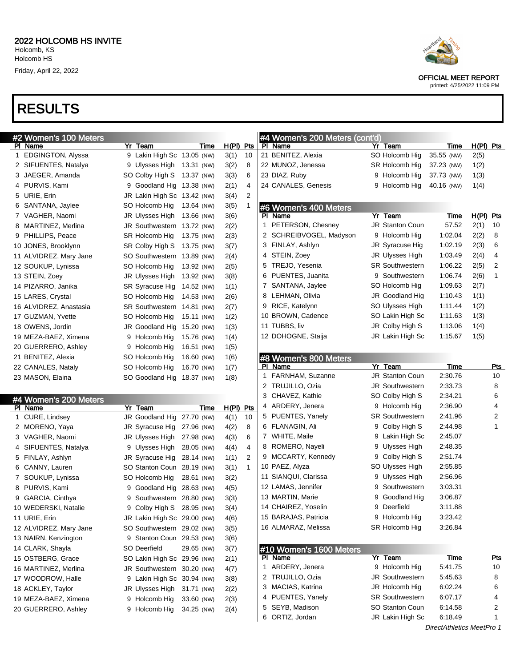## RESULTS

| #2 Women's 100 Meters  |                             |            |             |              | #4 Women's 200 Meters (cont'd) |                        |             |             |            |
|------------------------|-----------------------------|------------|-------------|--------------|--------------------------------|------------------------|-------------|-------------|------------|
| <u>PI Name</u>         | Yr Team                     | Time       | H(PI)       | Pts          | PI Name                        | Yr Team                | Time        | $H(PI)$ Pts |            |
| 1 EDGINGTON, Alyssa    | 9 Lakin High Sc 13.05 (NW)  |            | 3(1)        | 10           | 21 BENITEZ, Alexia             | SO Holcomb Hig         | 35.55 (NW)  | 2(5)        |            |
| 2 SIFUENTES, Natalya   | 9 Ulysses High 13.31 (NW)   |            | 3(2)        | 8            | 22 MUNOZ, Jenessa              | SR Holcomb Hig         | 37.23 (NW)  | 1(2)        |            |
| 3 JAEGER, Amanda       | SO Colby High S 13.37 (NW)  |            | 3(3)        | 6            | 23 DIAZ, Ruby                  | 9 Holcomb Hig          | 37.73 (NW)  | 1(3)        |            |
| 4 PURVIS, Kami         | 9 Goodland Hig 13.38 (NW)   |            | 2(1)        | 4            | 24 CANALES, Genesis            | 9 Holcomb Hig          | 40.16 (NW)  | 1(4)        |            |
| 5 URIE, Erin           | JR Lakin High Sc 13.42 (NW) |            | 3(4)        | 2            |                                |                        |             |             |            |
| 6 SANTANA, Jaylee      | SO Holcomb Hig              | 13.64 (NW) | 3(5)        | 1            | #6 Women's 400 Meters          |                        |             |             |            |
| 7 VAGHER, Naomi        | JR Ulysses High             | 13.66 (NW) | 3(6)        |              | PI Name                        | Yr Team                | Time        | $H(PI)$ Pts |            |
| 8 MARTINEZ, Merlina    | JR Southwestern 13.72 (NW)  |            | 2(2)        |              | 1 PETERSON, Chesney            | <b>JR Stanton Coun</b> | 57.52       | 2(1)        | 10         |
| 9 PHILLIPS, Peace      | SR Holcomb Hig              | 13.75 (NW) | 2(3)        |              | 2 SCHREIBVOGEL, Madyson        | 9 Holcomb Hig          | 1:02.04     | 2(2)        | 8          |
| 10 JONES, Brooklynn    | SR Colby High S             | 13.75 (NW) | 3(7)        |              | 3 FINLAY, Ashlyn               | JR Syracuse Hig        | 1:02.19     | 2(3)        | 6          |
| 11 ALVIDREZ, Mary Jane | SO Southwestern 13.89 (NW)  |            | 2(4)        |              | 4 STEIN, Zoey                  | JR Ulysses High        | 1:03.49     | 2(4)        | 4          |
| 12 SOUKUP, Lynissa     | SO Holcomb Hig              | 13.92 (NW) | 2(5)        |              | 5 TREJO, Yesenia               | <b>SR Southwestern</b> | 1:06.22     | 2(5)        | 2          |
| 13 STEIN, Zoey         | JR Ulysses High             | 13.92 (NW) | 3(8)        |              | 6 PUENTES, Juanita             | 9 Southwestern         | 1:06.74     | 2(6)        | 1          |
| 14 PIZARRO, Janika     | SR Syracuse Hig             | 14.52 (NW) | 1(1)        |              | 7 SANTANA, Jaylee              | SO Holcomb Hig         | 1:09.63     | 2(7)        |            |
| 15 LARES, Crystal      | SO Holcomb Hig              | 14.53 (NW) | 2(6)        |              | 8 LEHMAN, Olivia               | JR Goodland Hig        | 1:10.43     | 1(1)        |            |
| 16 ALVIDREZ, Anastasia | SR Southwestern 14.81 (NW)  |            | 2(7)        |              | 9 RICE, Katelynn               | SO Ulysses High        | 1:11.44     | 1(2)        |            |
| 17 GUZMAN, Yvette      | SO Holcomb Hig              | 15.11 (NW) | 1(2)        |              | 10 BROWN, Cadence              | SO Lakin High Sc       | 1:11.63     | 1(3)        |            |
| 18 OWENS, Jordin       | JR Goodland Hig 15.20 (NW)  |            | 1(3)        |              | 11 TUBBS, liv                  | JR Colby High S        | 1:13.06     | 1(4)        |            |
| 19 MEZA-BAEZ, Ximena   | 9 Holcomb Hig               | 15.76 (NW) | 1(4)        |              | 12 DOHOGNE, Staija             | JR Lakin High Sc       | 1:15.67     | 1(5)        |            |
| 20 GUERRERO, Ashley    | 9 Holcomb Hig               | 16.51 (NW) | 1(5)        |              |                                |                        |             |             |            |
| 21 BENITEZ, Alexia     | SO Holcomb Hig              | 16.60 (NW) | 1(6)        |              | #8 Women's 800 Meters          |                        |             |             |            |
| 22 CANALES, Nataly     | SO Holcomb Hig              | 16.70 (NW) | 1(7)        |              | PI Name                        | Yr Team                | Time        |             | Pts        |
| 23 MASON, Elaina       | SO Goodland Hig 18.37 (NW)  |            | 1(8)        |              | 1 FARNHAM, Suzanne             | <b>JR Stanton Coun</b> | 2:30.76     |             | 10         |
|                        |                             |            |             |              | 2 TRUJILLO, Ozia               | <b>JR Southwestern</b> | 2:33.73     |             | 8          |
| #4 Women's 200 Meters  |                             |            |             |              | 3 CHAVEZ, Kathie               | SO Colby High S        | 2:34.21     |             | 6          |
| PI Name                | Yr Team                     | Time       | $H(PI)$ Pts |              | 4 ARDERY, Jenera               | 9 Holcomb Hig          | 2:36.90     |             | 4          |
| 1 CURE, Lindsey        | JR Goodland Hig 27.70 (NW)  |            | 4(1)        | 10           | 5 PUENTES, Yanely              | <b>SR Southwestern</b> | 2:41.96     |             | 2          |
| 2 MORENO, Yaya         | JR Syracuse Hig             | 27.96 (NW) | 4(2)        | 8            | 6 FLANAGIN, Ali                | 9 Colby High S         | 2:44.98     |             | 1          |
| 3 VAGHER, Naomi        | JR Ulysses High             | 27.98 (NW) | 4(3)        | 6            | 7 WHITE, Maile                 | 9 Lakin High Sc        | 2:45.07     |             |            |
| 4 SIFUENTES, Natalya   | 9 Ulysses High              | 28.05 (NW) | 4(4)        | 4            | 8 ROMERO, Nayeli               | 9 Ulysses High         | 2:48.35     |             |            |
| 5 FINLAY, Ashlyn       | JR Syracuse Hig             | 28.14 (NW) | 1(1)        | 2            | 9 MCCARTY, Kennedy             | 9 Colby High S         | 2:51.74     |             |            |
| 6 CANNY, Lauren        | SO Stanton Coun 28.19 (NW)  |            | 3(1)        | $\mathbf{1}$ | 10 PAEZ, Alyza                 | SO Ulysses High        | 2:55.85     |             |            |
| 7 SOUKUP, Lynissa      | SO Holcomb Hig              | 28.61 (NW) | 3(2)        |              | 11 SIANQUI, Clarissa           | 9 Ulysses High         | 2:56.96     |             |            |
| 8 PURVIS, Kami         | 9 Goodland Hig 28.63 (NW)   |            | 4(5)        |              | 12 LAMAS, Jennifer             | Southwestern           | 3:03.31     |             |            |
| 9 GARCIA, Cinthya      | 9 Southwestern 28.80 (NW)   |            | 3(3)        |              | 13 MARTIN, Marie               | 9 Goodland Hig         | 3:06.87     |             |            |
| 10 WEDERSKI, Natalie   | 9 Colby High S 28.95 (NW)   |            | 3(4)        |              | 14 CHAIREZ, Yoselin            | 9 Deerfield            | 3:11.88     |             |            |
| 11 URIE, Erin          | JR Lakin High Sc 29.00 (NW) |            | 4(6)        |              | 15 BARAJAS, Patricia           | 9 Holcomb Hig          | 3:23.42     |             |            |
| 12 ALVIDREZ, Mary Jane | SO Southwestern 29.02 (NW)  |            | 3(5)        |              | 16 ALMARAZ, Melissa            | SR Holcomb Hig         | 3:26.84     |             |            |
| 13 NAIRN, Kenzington   | 9 Stanton Coun 29.53 (NW)   |            | 3(6)        |              |                                |                        |             |             |            |
| 14 CLARK, Shayla       | SO Deerfield                | 29.65 (NW) | 3(7)        |              | #10 Women's 1600 Meters        |                        |             |             |            |
| 15 OSTBERG, Grace      | SO Lakin High Sc 29.96 (NW) |            | 2(1)        |              | PI Name                        | Yr Team                | <b>Time</b> |             | <u>Pts</u> |
| 16 MARTINEZ, Merlina   | JR Southwestern 30.20 (NW)  |            | 4(7)        |              | 1 ARDERY, Jenera               | 9 Holcomb Hig          | 5:41.75     |             | 10         |
| 17 WOODROW, Halle      | 9 Lakin High Sc 30.94 (NW)  |            | 3(8)        |              | 2 TRUJILLO, Ozia               | <b>JR Southwestern</b> | 5:45.63     |             | 8          |
| 18 ACKLEY, Taylor      | JR Ulysses High             | 31.71 (NW) | 2(2)        |              | 3 MACIAS, Katrina              | JR Holcomb Hig         | 6:02.24     |             | 6          |
| 19 MEZA-BAEZ, Ximena   | 9 Holcomb Hig               | 33.60 (NW) | 2(3)        |              | 4 PUENTES, Yanely              | <b>SR Southwestern</b> | 6:07.17     |             | 4          |
| 20 GUERRERO, Ashley    | 9 Holcomb Hig               | 34.25 (NW) | 2(4)        |              | 5 SEYB, Madison                | SO Stanton Coun        | 6:14.58     |             | 2          |
|                        |                             |            |             |              | 6 ORTIZ, Jordan                | JR Lakin High Sc       | 6:18.49     |             | 1          |



OFFICIAL MEET REPORT

printed: 4/25/2022 11:09 PM

DirectAthletics MeetPro 1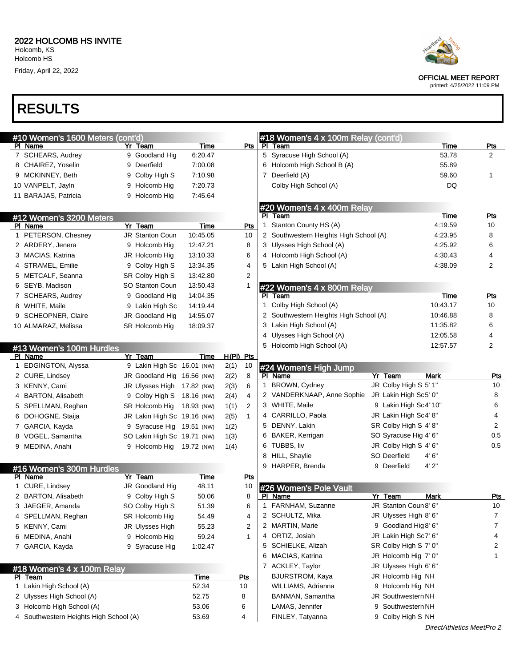# RESULTS

| #10 Women's 1600 Meters (cont'd)       |                             |             |           |              |   | #18 Women's 4 x 100m Relay (cont'd)    |                        |                |
|----------------------------------------|-----------------------------|-------------|-----------|--------------|---|----------------------------------------|------------------------|----------------|
| PI Name                                | Yr Team                     | Time        |           | Pts          |   | PI Team                                | Time                   | <u>Pts</u>     |
| 7 SCHEARS, Audrey                      | 9 Goodland Hig              | 6.20.47     |           |              |   | 5 Syracuse High School (A)             | 53.78                  | $\overline{2}$ |
| 8 CHAIREZ, Yoselin                     | 9 Deerfield                 | 7:00.08     |           |              |   | 6 Holcomb High School B (A)            | 55.89                  |                |
| 9 MCKINNEY, Beth                       | 9 Colby High S              | 7:10.98     |           |              |   | 7 Deerfield (A)                        | 59.60                  | 1              |
| 10 VANPELT, Jayln                      | 9 Holcomb Hig               | 7:20.73     |           |              |   | Colby High School (A)                  | DQ                     |                |
| 11 BARAJAS, Patricia                   | 9 Holcomb Hig               | 7:45.64     |           |              |   |                                        |                        |                |
|                                        |                             |             |           |              |   | #20 Women's 4 x 400m Relay             |                        |                |
| #12 Women's 3200 Meters                |                             |             |           |              |   | PI Team                                | Time                   | <u>Pts</u>     |
| PI Name                                | Yr Team                     | Time        |           | Pts          |   | 1 Stanton County HS (A)                | 4:19.59                | 10             |
| 1 PETERSON, Chesney                    | <b>JR Stanton Coun</b>      | 10:45.05    |           | 10           |   | 2 Southwestern Heights High School (A) | 4:23.95                | 8              |
| 2 ARDERY, Jenera                       | 9 Holcomb Hig               | 12:47.21    |           | 8            |   | 3 Ulysses High School (A)              | 4:25.92                | 6              |
| 3 MACIAS, Katrina                      | JR Holcomb Hig              | 13:10.33    |           | 6            |   | 4 Holcomb High School (A)              | 4:30.43                | 4              |
| 4 STRAMEL, Emilie                      | 9 Colby High S              | 13:34.35    |           | 4            |   | 5 Lakin High School (A)                | 4:38.09                | 2              |
| 5 METCALF, Seanna                      | SR Colby High S             | 13:42.80    |           | 2            |   |                                        |                        |                |
| 6 SEYB, Madison                        | <b>SO Stanton Coun</b>      | 13:50.43    |           | 1            |   | #22 Women's 4 x 800m Relay             |                        |                |
| 7 SCHEARS, Audrey                      | 9 Goodland Hig              | 14:04.35    |           |              |   | PI Team                                | Time                   | <u>Pts</u>     |
| 8 WHITE, Maile                         | 9 Lakin High Sc             | 14:19.44    |           |              |   | 1 Colby High School (A)                | 10:43.17               | 10             |
| 9 SCHEOPNER, Claire                    | JR Goodland Hig             | 14:55.07    |           |              |   | 2 Southwestern Heights High School (A) | 10:46.88               | 8              |
| 10 ALMARAZ, Melissa                    | SR Holcomb Hig              | 18:09.37    |           |              |   | 3 Lakin High School (A)                | 11:35.82               | 6              |
|                                        |                             |             |           |              |   | 4 Ulysses High School (A)              | 12:05.58               | 4              |
| #13 Women's 100m Hurdles               |                             |             |           |              |   | 5 Holcomb High School (A)              | 12:57.57               | 2              |
| PI Name                                | Yr Team                     | Time        | H(PI) Pts |              |   |                                        |                        |                |
| 1 EDGINGTON, Alyssa                    | 9 Lakin High Sc 16.01 (NW)  |             | 2(1)      | 10           |   | #24 Women's High Jump                  |                        |                |
| 2 CURE, Lindsey                        | JR Goodland Hig 16.56 (NW)  |             | 2(2)      | 8            |   | PI Name                                | Yr Team<br><b>Mark</b> | <b>Pts</b>     |
| 3 KENNY, Cami                          | JR Ulysses High 17.82 (NW)  |             | 2(3)      | 6            |   | 1 BROWN, Cydney                        | JR Colby High S 5' 1"  | 10             |
| 4 BARTON, Alisabeth                    | 9 Colby High S 18.16 (NW)   |             | 2(4)      | 4            |   | 2 VANDERKNAAP, Anne Sophie             | JR Lakin High Sc5' 0"  | 8              |
| 5 SPELLMAN, Reghan                     | SR Holcomb Hig              | 18.93 (NW)  | 1(1)      | 2            |   | 3 WHITE, Maile                         | 9 Lakin High Sc4' 10"  | 6              |
| 6 DOHOGNE, Staija                      | JR Lakin High Sc 19.16 (NW) |             | 2(5)      | $\mathbf{1}$ |   | 4 CARRILLO, Paola                      | JR Lakin High Sc4' 8"  | 4              |
| 7 GARCIA, Kayda                        | 9 Syracuse Hig 19.51 (NW)   |             | 1(2)      |              |   | 5 DENNY, Lakin                         | SR Colby High S 4' 8"  | $\overline{2}$ |
| 8 VOGEL, Samantha                      | SO Lakin High Sc 19.71 (NW) |             | 1(3)      |              |   | 6 BAKER, Kerrigan                      | SO Syracuse Hig 4' 6"  | 0.5            |
| 9 MEDINA, Anahi                        | 9 Holcomb Hig 19.72 (NW)    |             | 1(4)      |              |   | 6 TUBBS, liv                           | JR Colby High S 4' 6"  | 0.5            |
|                                        |                             |             |           |              |   | 8 HILL, Shaylie                        | SO Deerfield<br>4'6''  |                |
| #16 Women's 300m Hurdles               |                             |             |           |              |   | 9 HARPER, Brenda                       | 4'2"<br>9 Deerfield    |                |
| PI Name                                | Yr Team                     | <b>Time</b> |           | <u>Pts</u>   |   |                                        |                        |                |
| 1 CURE, Lindsey                        | JR Goodland Hig             | 48.11       |           | 10           |   | #26 Women's Pole Vault                 |                        |                |
| 2 BARTON, Alisabeth                    | 9 Colby High S              | 50.06       |           | 8            |   | PI Name                                | Yr Team<br><b>Mark</b> | <u>Pts</u>     |
| 3 JAEGER, Amanda                       | SO Colby High S             | 51.39       |           | 6            |   | 1 FARNHAM, Suzanne                     | JR Stanton Coun 8' 6"  | 10             |
| 4 SPELLMAN, Reghan                     | SR Holcomb Hig              | 54.49       |           | 4            | 2 | SCHULTZ, Mika                          | JR Ulysses High 8' 6"  | 7              |
| 5 KENNY, Cami                          | JR Ulysses High             | 55.23       |           | 2            |   | 2 MARTIN, Marie                        | 9 Goodland Hig 8' 6"   | 7              |
| 6 MEDINA, Anahi                        | 9 Holcomb Hig               | 59.24       |           | 1            |   | 4 ORTIZ, Josiah                        | JR Lakin High Sc7' 6"  | 4              |
| 7 GARCIA, Kayda                        | 9 Syracuse Hig              | 1:02.47     |           |              | 5 | SCHIELKE, Alizah                       | SR Colby High S 7' 0"  | 2              |
|                                        |                             |             |           |              | 6 | MACIAS, Katrina                        | JR Holcomb Hig 7' 0"   | 1              |
| #18 Women's 4 x 100m Relay             |                             |             |           |              |   | 7 ACKLEY, Taylor                       | JR Ulysses High 6' 6"  |                |
| PI Team                                |                             | <b>Time</b> |           | <b>Pts</b>   |   | <b>BJURSTROM, Kaya</b>                 | JR Holcomb Hig NH      |                |
| 1 Lakin High School (A)                |                             | 52.34       |           | 10           |   | WILLIAMS, Adrianna                     | 9 Holcomb Hig NH       |                |
| 2 Ulysses High School (A)              |                             | 52.75       |           | 8            |   | BANMAN, Samantha                       | JR Southwestern NH     |                |
| 3 Holcomb High School (A)              |                             | 53.06       |           | 6            |   | LAMAS, Jennifer                        | 9 Southwestern NH      |                |
| 4 Southwestern Heights High School (A) |                             | 53.69       |           | 4            |   | FINLEY, Tatyanna                       | 9 Colby High S NH      |                |
|                                        |                             |             |           |              |   |                                        |                        |                |

OFFICIAL MEET REPORT

printed: 4/25/2022 11:09 PM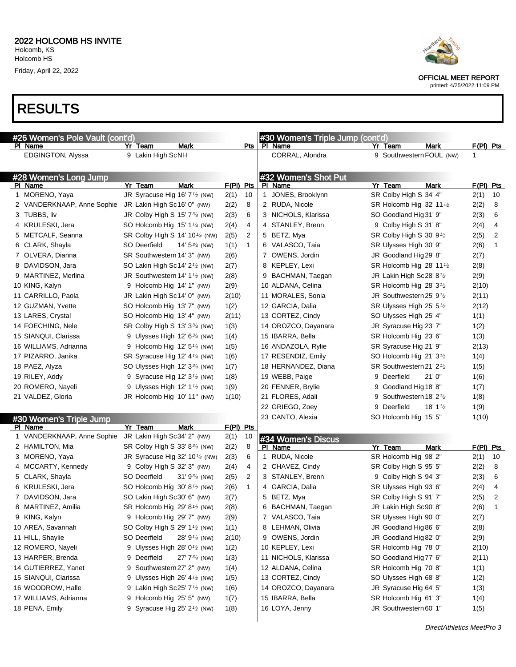

OFFICIAL MEET REPORT

printed: 4/25/2022 11:09 PM

#### RESULTS

| #26 Women's Pole Vault (cont'd) |                                                         |                         |             |              | #30 Women's Triple Jump (cont'd) |                                       |                     |                        |
|---------------------------------|---------------------------------------------------------|-------------------------|-------------|--------------|----------------------------------|---------------------------------------|---------------------|------------------------|
| PI Name                         | Yr Team                                                 | Mark                    |             | <u>Pts </u>  | PI Name                          | Yr Team                               | <b>Mark</b>         | <u>F(PI) Pts</u>       |
| EDGINGTON, Alyssa               | 9 Lakin High ScNH                                       |                         |             |              | CORRAL, Alondra                  | 9 Southwestern FOUL (NW)              |                     |                        |
|                                 |                                                         |                         |             |              |                                  |                                       |                     |                        |
| #28 Women's Long Jump           |                                                         |                         |             |              | #32 Women's Shot Put             |                                       |                     |                        |
| <b>PI Name</b>                  | Yr Team                                                 | <b>Mark</b>             | $F(PI)$ Pts |              | PI Name                          | Yr Team                               | Mark                | $F(PI)$ Pts            |
| 1 MORENO, Yaya                  | JR Syracuse Hig 16' 7 <sup>1/2</sup> (NW)               |                         | 2(1)        | 10           | 1 JONES, Brooklynn               | SR Colby High S 34' 4"                |                     | 2(1)<br>10             |
| 2 VANDERKNAAP, Anne Sophie      | JR Lakin High Sc16' 0" (NW)                             |                         | 2(2)        | 8            | 2 RUDA, Nicole                   | SR Holcomb Hig 32' 11 <sup>1</sup> /2 |                     | 2(2)<br>8              |
| 3 TUBBS, liv                    | JR Colby High S 15' $7\frac{3}{4}$ (NW)                 |                         | 2(3)        | 6            | 3 NICHOLS, Klarissa              | SO Goodland Hig 31' 9"                |                     | 2(3)<br>6              |
| 4 KRULESKI, Jera                | SO Holcomb Hig 15' 1 $\frac{1}{4}$ (NW)                 |                         | 2(4)        | 4            | 4 STANLEY, Brenn                 | 9 Colby High S 31' 8"                 |                     | 2(4)<br>4              |
| 5 METCALF, Seanna               | SR Colby High S 14' 10 <sup>1/4</sup> (NW)              |                         | 2(5)        | 2            | 5 BETZ, Mya                      | SR Colby High S $30' 9t$              |                     | 2(5)<br>2              |
| 6 CLARK, Shayla                 | SO Deerfield                                            | 14' $5\frac{3}{4}$ (NW) | 1(1)        | $\mathbf{1}$ | 6 VALASCO, Taia                  | SR Ulysses High 30' 9"                |                     | 2(6)<br>1              |
| 7 OLVERA, Dianna                | SR Southwestern 14' 3" (NW)                             |                         | 2(6)        |              | 7 OWENS, Jordin                  | JR Goodland Hig 29' 8"                |                     | 2(7)                   |
| 8 DAVIDSON, Jara                | SO Lakin High Sc14' 2 <sup>1</sup> / <sub>2</sub> (NW)  |                         | 2(7)        |              | 8 KEPLEY, Lexi                   | SR Holcomb Hig 28' 11 <sup>1</sup> /2 |                     | 2(8)                   |
| 9 MARTINEZ, Merlina             | JR Southwestern 14' 1 $\frac{1}{2}$ (NW)                |                         | 2(8)        |              | 9 BACHMAN, Taegan                | JR Lakin High Sc28' 8 <sup>1</sup> /2 |                     | 2(9)                   |
| 10 KING, Kalyn                  | 9 Holcomb Hig 14' 1" (NW)                               |                         | 2(9)        |              | 10 ALDANA, Celina                | SR Holcomb Hig 28' 3 <sup>1</sup> /2  |                     | 2(10)                  |
| 11 CARRILLO, Paola              | JR Lakin High Sc14' 0" (NW)                             |                         | 2(10)       |              | 11 MORALES, Sonia                | JR Southwestern 25' 9 <sup>1</sup> /2 |                     | 2(11)                  |
| 12 GUZMAN, Yvette               | SO Holcomb Hig 13' 7" (NW)                              |                         | 1(2)        |              | 12 GARCIA, Dalia                 | SR Ulysses High 25' 51/2              |                     | 2(12)                  |
| 13 LARES, Crystal               | SO Holcomb Hig 13' 4" (NW)                              |                         | 2(11)       |              | 13 CORTEZ, Cindy                 | SO Ulysses High 25' 4"                |                     | 1(1)                   |
| 14 FOECHING, Nele               | SR Colby High S 13' 334 (NW)                            |                         | 1(3)        |              | 14 OROZCO, Dayanara              | JR Syracuse Hig 23' 7"                |                     | 1(2)                   |
| 15 SIANQUI, Clarissa            | 9 Ulysses High 12' $6\frac{3}{4}$ (NW)                  |                         | 1(4)        |              | 15 IBARRA, Bella                 | SR Holcomb Hig 23' 6"                 |                     | 1(3)                   |
| 16 WILLIAMS, Adrianna           | 9 Holcomb Hig $12' 5''/4$ (NW)                          |                         | 1(5)        |              | 16 ANDAZOLA, Rylie               | SR Syracuse Hig 21' 9"                |                     | 2(13)                  |
| 17 PIZARRO, Janika              | SR Syracuse Hig 12' 4 <sup>1/4</sup> (NW)               |                         | 1(6)        |              | 17 RESENDIZ, Emily               | SO Holcomb Hig 21' 3 <sup>1</sup> /2  |                     | 1(4)                   |
| 18 PAEZ, Alyza                  | SO Ulysses High 12' 334 (NW)                            |                         | 1(7)        |              | 18 HERNANDEZ, Diana              | SR Southwestern 21' 2 <sup>1</sup> /2 |                     | 1(5)                   |
| 19 RILEY, Addy                  | 9 Syracuse Hig 12' $3\frac{1}{2}$ (NW)                  |                         | 1(8)        |              | 19 WEBB, Paige                   | 9 Deerfield                           | 21'0''              | 1(6)                   |
| 20 ROMERO, Nayeli               | 9 Ulysses High 12' $1\frac{1}{2}$ (NW)                  |                         | 1(9)        |              | 20 FENNER, Brylie                | 9 Goodland Hig 18' 8"                 |                     | 1(7)                   |
| 21 VALDEZ, Gloria               | JR Holcomb Hig 10' 11" (NW)                             |                         | 1(10)       |              | 21 FLORES, Adali                 | 9 Southwestern 18' 2 <sup>1</sup> /2  |                     | 1(8)                   |
|                                 |                                                         |                         |             |              | 22 GRIEGO, Zoey                  | 9 Deerfield                           | 18' 1 $\frac{1}{2}$ | 1(9)                   |
| #30 Women's Triple Jump         |                                                         |                         |             |              | 23 CANTO, Alexia                 | SO Holcomb Hig 15' 5"                 |                     | 1(10)                  |
| PI Name                         | Yr Team                                                 | Mark                    | F(PI) Pts   |              |                                  |                                       |                     |                        |
| 1 VANDERKNAAP, Anne Sophie      | JR Lakin High Sc34' 2" (NW)                             |                         | 2(1)        | 10           | #34 Women's Discus               |                                       |                     |                        |
| 2 HAMILTON, Mia                 | SR Colby High S 33' 834 (NW)                            |                         | 2(2)        | 8            | PI Name                          | Yr Team                               | Mark                | F(PI) Pts              |
| 3 MORENO, Yaya                  | JR Syracuse Hig 32' 10 <sup>1/4</sup> (NW)              |                         | 2(3)        | 6            | 1 RUDA, Nicole                   | SR Holcomb Hig 98' 2"                 |                     | 2(1)<br>10             |
| 4 MCCARTY, Kennedy              | 9 Colby High S 32' 3" (NW)                              |                         | 2(4)        | 4            | 2 CHAVEZ, Cindy                  | SR Colby High S 95' 5"                |                     | 2(2)<br>8              |
| 5 CLARK, Shayla                 | SO Deerfield                                            | 31' $9\frac{3}{4}$ (NW) | 2(5)        | 2            | 3 STANLEY, Brenn                 | 9 Colby High S 94' 3"                 |                     | 2(3)<br>6              |
| 6 KRULESKI, Jera                | SO Holcomb Hig 30' 8 <sup>1/2</sup> (NW)                |                         | 2(6)        | $\mathbf{1}$ | 4 GARCIA, Dalia                  | SR Ulysses High 93' 6"                |                     | 2(4)<br>4              |
| 7 DAVIDSON, Jara                | SO Lakin High Sc30' 6" (NW)                             |                         | 2(7)        |              | 5 BETZ, Mya                      | SR Colby High S 91' 7"                |                     | 2(5)<br>2              |
| 8 MARTINEZ, Amilia              | SR Holcomb Hig 29' 8 <sup>1/2</sup> (NW)                |                         | 2(8)        |              | 6 BACHMAN, Taegan                | JR Lakin High Sc90' 8"                |                     | 2(6)<br>$\overline{1}$ |
| 9 KING, Kalyn                   | 9 Holcomb Hig 29' 7" (NW)                               |                         | 2(9)        |              | 7 VALASCO, Taia                  | SR Ulysses High 90' 0"                |                     | 2(7)                   |
| 10 AREA, Savannah               | SO Colby High S 29' 1 <sup>1</sup> / <sub>2</sub> (NW)  |                         | 1(1)        |              | 8 LEHMAN, Olivia                 | JR Goodland Hig 86' 6"                |                     | 2(8)                   |
| 11 HILL, Shaylie                | SO Deerfield                                            | 28' 91/4 (NW)           | 2(10)       |              | 9 OWENS, Jordin                  | JR Goodland Hig 82' 0"                |                     | 2(9)                   |
| 12 ROMERO, Nayeli               | 9 Ulysses High 28' 0 <sup>1</sup> / <sub>2</sub> (NW)   |                         | 1(2)        |              | 10 KEPLEY, Lexi                  | SR Holcomb Hig 78' 0"                 |                     | 2(10)                  |
| 13 HARPER, Brenda               | 9 Deerfield                                             | 27' 73/4 (NW)           | 1(3)        |              | 11 NICHOLS, Klarissa             | SO Goodland Hig 77' 6"                |                     | 2(11)                  |
| 14 GUTIERREZ, Yanet             | 9 Southwestern 27' 2" (NW)                              |                         | 1(4)        |              | 12 ALDANA, Celina                | SR Holcomb Hig 70' 8"                 |                     | 1(1)                   |
| 15 SIANQUI, Clarissa            | 9 Ulysses High 26' $4\frac{1}{2}$ (NW)                  |                         | 1(5)        |              | 13 CORTEZ, Cindy                 | SO Ulysses High 68' 8"                |                     | 1(2)                   |
| 16 WOODROW, Halle               | 9 Lakin High Sc25' $7\frac{1}{2}$ (NW)                  |                         | 1(6)        |              | 14 OROZCO, Dayanara              | JR Syracuse Hig 64' 5"                |                     | 1(3)                   |
| 17 WILLIAMS, Adrianna           | 9 Holcomb Hig 25' 5" (NW)                               |                         | 1(7)        |              | 15 IBARRA, Bella                 | SR Holcomb Hig 61' 3"                 |                     | 1(4)                   |
| 18 PENA, Emily                  | 9 Syracuse Hig $25'$ 2 <sup>1</sup> / <sub>2</sub> (NW) |                         | 1(8)        |              | 16 LOYA, Jenny                   | JR Southwestern 60' 1"                |                     | 1(5)                   |
|                                 |                                                         |                         |             |              |                                  |                                       |                     |                        |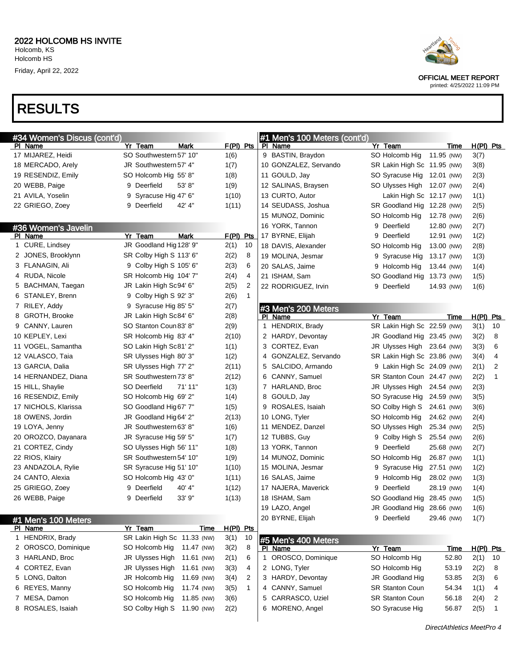# RESULTS

| #34 Women's Discus (cont'd) |   |                               |             |              |   | #1 Men's 100 Meters (cont'd) |   |                             |            |             |             |                |
|-----------------------------|---|-------------------------------|-------------|--------------|---|------------------------------|---|-----------------------------|------------|-------------|-------------|----------------|
| PI Name                     |   | Yr Team<br>Mark               | $F(PI)$ Pts |              |   | PI Name                      |   | Yr Team                     |            | Time        | $H(PI)$ Pts |                |
| 17 MIJAREZ, Heidi           |   | SO Southwestern 57' 10"       | 1(6)        |              |   | 9 BASTIN, Braydon            |   | SO Holcomb Hig              | 11.95 (NW) |             | 3(7)        |                |
| 18 MERCADO, Arely           |   | JR Southwestern 57' 4"        | 1(7)        |              |   | 10 GONZALEZ, Servando        |   | SR Lakin High Sc 11.95 (NW) |            |             | 3(8)        |                |
| 19 RESENDIZ, Emily          |   | SO Holcomb Hig 55' 8"         | 1(8)        |              |   | 11 GOULD, Jay                |   | SO Syracuse Hig 12.01 (NW)  |            |             | 2(3)        |                |
| 20 WEBB, Paige              | 9 | 53' 8"<br>Deerfield           | 1(9)        |              |   | 12 SALINAS, Braysen          |   | SO Ulysses High 12.07 (NW)  |            |             | 2(4)        |                |
| 21 AVILA, Yoselin           | 9 | Syracuse Hig 47' 6"           | 1(10)       |              |   | 13 CURTO, Autor              |   | Lakin High Sc 12.17 (NW)    |            |             | 1(1)        |                |
| 22 GRIEGO, Zoey             |   | 42' 4"<br>9 Deerfield         | 1(11)       |              |   | 14 SEUDASS, Joshua           |   | SR Goodland Hig 12.28 (NW)  |            |             | 2(5)        |                |
|                             |   |                               |             |              |   | 15 MUNOZ, Dominic            |   | SO Holcomb Hig              | 12.78 (NW) |             | 2(6)        |                |
| #36 Women's Javelin         |   |                               |             |              |   | 16 YORK, Tannon              |   | 9 Deerfield                 | 12.80 (NW) |             | 2(7)        |                |
| PI Name                     |   | Yr Team<br><b>Mark</b>        | $F(PI)$ Pts |              |   | 17 BYRNE, Elijah             | 9 | Deerfield                   | 12.91 (NW) |             | 1(2)        |                |
| 1 CURE, Lindsey             |   | JR Goodland Hig 128' 9"       | 2(1)        | 10           |   | 18 DAVIS, Alexander          |   | SO Holcomb Hig              | 13.00 (NW) |             | 2(8)        |                |
| 2 JONES, Brooklynn          |   | SR Colby High S 113' 6"       | 2(2)        | 8            |   | 19 MOLINA, Jesmar            |   | 9 Syracuse Hig              | 13.17 (NW) |             | 1(3)        |                |
| 3 FLANAGIN, Ali             |   | 9 Colby High S 105' 6"        | 2(3)        | 6            |   | 20 SALAS, Jaime              |   | 9 Holcomb Hig               | 13.44 (NW) |             | 1(4)        |                |
| 4 RUDA, Nicole              |   | SR Holcomb Hig 104' 7"        | 2(4)        | 4            |   | 21 ISHAM, Sam                |   | SO Goodland Hig 13.73 (NW)  |            |             | 1(5)        |                |
| 5 BACHMAN, Taegan           |   | JR Lakin High Sc94' 6"        | 2(5)        | 2            |   | 22 RODRIGUEZ, Irvin          |   | 9 Deerfield                 | 14.93 (NW) |             | 1(6)        |                |
| 6 STANLEY, Brenn            | 9 | Colby High S 92' 3"           | 2(6)        | $\mathbf{1}$ |   |                              |   |                             |            |             |             |                |
| 7 RILEY, Addy               |   | 9 Syracuse Hig 85' 5"         | 2(7)        |              |   | #3 Men's 200 Meters          |   |                             |            |             |             |                |
| 8 GROTH, Brooke             |   | JR Lakin High Sc84' 6"        | 2(8)        |              |   | PI Name                      |   | Yr Team                     |            | Time        | $H(PI)$ Pts |                |
| 9 CANNY, Lauren             |   | SO Stanton Coun 83' 8"        | 2(9)        |              |   | 1 HENDRIX, Brady             |   | SR Lakin High Sc 22.59 (NW) |            |             | 3(1)        | 10             |
| 10 KEPLEY, Lexi             |   | SR Holcomb Hig 83' 4"         | 2(10)       |              |   | 2 HARDY, Devontay            |   | JR Goodland Hig 23.45 (NW)  |            |             | 3(2)        | 8              |
| 11 VOGEL, Samantha          |   | SO Lakin High Sc81' 2"        | 1(1)        |              |   | 3 CORTEZ, Evan               |   | JR Ulysses High 23.64 (NW)  |            |             | 3(3)        | 6              |
| 12 VALASCO, Taia            |   | SR Ulysses High 80' 3"        | 1(2)        |              | 4 | GONZALEZ, Servando           |   | SR Lakin High Sc 23.86 (NW) |            |             | 3(4)        | 4              |
| 13 GARCIA, Dalia            |   | SR Ulysses High 77' 2"        | 2(11)       |              |   | 5 SALCIDO, Armando           |   | 9 Lakin High Sc 24.09 (NW)  |            |             | 2(1)        | $\overline{2}$ |
| 14 HERNANDEZ, Diana         |   | SR Southwestern 73' 8"        | 2(12)       |              |   | 6 CANNY, Samuel              |   | SR Stanton Coun 24.47 (NW)  |            |             | 2(2)        | $\mathbf{1}$   |
| 15 HILL, Shaylie            |   | SO Deerfield<br>71' 11"       | 1(3)        |              |   | 7 HARLAND, Broc              |   | JR Ulysses High 24.54 (NW)  |            |             | 2(3)        |                |
| 16 RESENDIZ, Emily          |   | SO Holcomb Hig 69' 2"         | 1(4)        |              |   | 8 GOULD, Jay                 |   | SO Syracuse Hig             | 24.59 (NW) |             | 3(5)        |                |
| 17 NICHOLS, Klarissa        |   | SO Goodland Hig 67' 7"        | 1(5)        |              |   | 9 ROSALES, Isaiah            |   | SO Colby High S             | 24.61 (NW) |             | 3(6)        |                |
| 18 OWENS, Jordin            |   | JR Goodland Hig 64' 2"        | 2(13)       |              |   | 10 LONG, Tyler               |   | SO Holcomb Hig              | 24.62 (NW) |             | 2(4)        |                |
| 19 LOYA, Jenny              |   | JR Southwestern 63' 8"        | 1(6)        |              |   | 11 MENDEZ, Danzel            |   | SO Ulysses High             | 25.34 (NW) |             | 2(5)        |                |
| 20 OROZCO, Dayanara         |   | JR Syracuse Hig 59' 5"        | 1(7)        |              |   | 12 TUBBS, Guy                | 9 | Colby High S                | 25.54 (NW) |             | 2(6)        |                |
| 21 CORTEZ, Cindy            |   | SO Ulysses High 56' 11"       | 1(8)        |              |   | 13 YORK, Tannon              | 9 | Deerfield                   | 25.68 (NW) |             | 2(7)        |                |
| 22 RIOS, Klairy             |   | SR Southwestern 54' 10"       | 1(9)        |              |   | 14 MUNOZ, Dominic            |   | SO Holcomb Hig              | 26.87 (NW) |             | 1(1)        |                |
| 23 ANDAZOLA, Rylie          |   | SR Syracuse Hig 51' 10"       | 1(10)       |              |   | 15 MOLINA, Jesmar            | 9 | Syracuse Hig                | 27.51 (NW) |             | 1(2)        |                |
| 24 CANTO, Alexia            |   | SO Holcomb Hig 43' 0"         | 1(11)       |              |   | 16 SALAS, Jaime              | 9 | Holcomb Hig                 | 28.02 (NW) |             | 1(3)        |                |
| 25 GRIEGO, Zoey             | 9 | 40' 4"<br>Deerfield           | 1(12)       |              |   | 17 NAJERA, Maverick          | 9 | Deerfield                   | 28.19 (NW) |             | 1(4)        |                |
| 26 WEBB, Paige              | 9 | 33' 9"<br>Deerfield           | 1(13)       |              |   | 18 ISHAM, Sam                |   | SO Goodland Hig             | 28.45 (NW) |             | 1(5)        |                |
|                             |   |                               |             |              |   | 19 LAZO, Angel               |   | JR Goodland Hig 28.66 (NW)  |            |             | 1(6)        |                |
| #1 Men's 100 Meters         |   |                               |             |              |   | 20 BYRNE, Elijah             |   | 9 Deerfield                 | 29.46 (NW) |             | 1(7)        |                |
| PI Name                     |   | Yr Team<br>Time               | H(PI) Pts   |              |   |                              |   |                             |            |             |             |                |
| 1 HENDRIX, Brady            |   | SR Lakin High Sc 11.33 (NW)   | 3(1)        | 10           |   | #5 Men's 400 Meters          |   |                             |            |             |             |                |
| 2 OROSCO, Dominique         |   | SO Holcomb Hig<br>11.47 (NW)  | 3(2)        | 8            |   | PI Name                      |   | Yr Team                     |            | <u>Time</u> | H(PI) Pts   |                |
| 3 HARLAND, Broc             |   | JR Ulysses High<br>11.61 (NW) | 2(1)        | 6            | 1 | OROSCO, Dominique            |   | SO Holcomb Hig              | 52.80      |             | 2(1)        | 10             |
| 4 CORTEZ, Evan              |   | JR Ulysses High<br>11.61 (NW) | 3(3)        | 4            |   | 2 LONG, Tyler                |   | SO Holcomb Hig              | 53.19      |             | 2(2)        | 8              |
| 5 LONG, Dalton              |   | JR Holcomb Hig<br>11.69 (NW)  | 3(4)        | 2            |   | 3 HARDY, Devontay            |   | JR Goodland Hig             | 53.85      |             | 2(3)        | 6              |
| 6 REYES, Manny              |   | SO Holcomb Hig<br>11.74 (NW)  | 3(5)        | $\mathbf{1}$ |   | 4 CANNY, Samuel              |   | SR Stanton Coun             | 54.34      |             | 1(1)        | 4              |
| 7 MESA, Damon               |   | SO Holcomb Hig<br>11.85 (NW)  | 3(6)        |              | 5 | CARRASCO, Uziel              |   | SR Stanton Coun             | 56.18      |             | 2(4)        | 2              |
| 8 ROSALES, Isaiah           |   | SO Colby High S<br>11.90 (NW) | 2(2)        |              |   | 6 MORENO, Angel              |   | SO Syracuse Hig             | 56.87      |             | 2(5)        | 1              |
|                             |   |                               |             |              |   |                              |   |                             |            |             |             |                |



OFFICIAL MEET REPORT

printed: 4/25/2022 11:09 PM

DirectAthletics MeetPro 4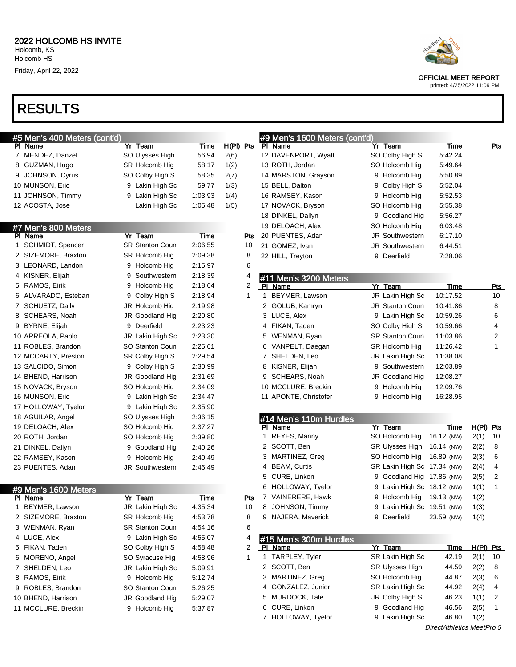## RESULTS

| #5 Men's 400 Meters (cont'd) |                        |             |              | #9 Men's 1600 Meters (cont'd) |                             |                           |             |
|------------------------------|------------------------|-------------|--------------|-------------------------------|-----------------------------|---------------------------|-------------|
| PI Name                      | Yr Team                | Time        | $H(PI)$ Pts  | PI Name                       | Yr Team                     | <b>Time</b>               | <u>Pts</u>  |
| 7 MENDEZ, Danzel             | SO Ulysses High        | 56.94       | 2(6)         | 12 DAVENPORT, Wyatt           | SO Colby High S             | 5:42.24                   |             |
| 8 GUZMAN, Hugo               | SR Holcomb Hig         | 58.17       | 1(2)         | 13 ROTH, Jordan               | SO Holcomb Hig              | 5:49.64                   |             |
| 9 JOHNSON, Cyrus             | SO Colby High S        | 58.35       | 2(7)         | 14 MARSTON, Grayson           | 9 Holcomb Hig               | 5:50.89                   |             |
| 10 MUNSON, Eric              | 9 Lakin High Sc        | 59.77       | 1(3)         | 15 BELL, Dalton               | 9 Colby High S              | 5:52.04                   |             |
| 11 JOHNSON, Timmy            | 9 Lakin High Sc        | 1:03.93     | 1(4)         | 16 RAMSEY, Kason              | 9 Holcomb Hig               | 5:52.53                   |             |
| 12 ACOSTA, Jose              | Lakin High Sc          | 1:05.48     | 1(5)         | 17 NOVACK, Bryson             | SO Holcomb Hig              | 5:55.38                   |             |
|                              |                        |             |              | 18 DINKEL, Dallyn             | 9 Goodland Hig              | 5:56.27                   |             |
| #7 Men's 800 Meters          |                        |             |              | 19 DELOACH, Alex              | SO Holcomb Hig              | 6:03.48                   |             |
| <b>PI</b> Name               | Yr Team                | <b>Time</b> | <u>Pts</u>   | 20 PUENTES, Adan              | <b>JR Southwestern</b>      | 6:17.10                   |             |
| 1 SCHMIDT, Spencer           | <b>SR Stanton Coun</b> | 2:06.55     | 10           | 21 GOMEZ, Ivan                | <b>JR Southwestern</b>      | 6:44.51                   |             |
| 2 SIZEMORE, Braxton          | SR Holcomb Hig         | 2:09.38     | 8            | 22 HILL, Treyton              | 9 Deerfield                 | 7:28.06                   |             |
| 3 LEONARD, Landon            | 9 Holcomb Hig          | 2:15.97     | 6            |                               |                             |                           |             |
| 4 KISNER, Elijah             | 9 Southwestern         | 2:18.39     | 4            | #11 Men's 3200 Meters         |                             |                           |             |
| 5 RAMOS, Eirik               | 9 Holcomb Hig          | 2:18.64     | 2            | PI Name                       | Yr Team                     | <b>Time</b>               | <b>Pts</b>  |
| 6 ALVARADO, Esteban          | 9 Colby High S         | 2:18.94     | $\mathbf{1}$ | BEYMER, Lawson<br>1           | JR Lakin High Sc            | 10:17.52                  | 10          |
| 7 SCHUETZ, Dally             | JR Holcomb Hig         | 2:19.98     |              | 2 GOLUB, Kamryn               | <b>JR Stanton Coun</b>      | 10:41.86                  | 8           |
| 8 SCHEARS, Noah              | <b>JR Goodland Hig</b> | 2:20.80     |              | 3 LUCE, Alex                  | 9 Lakin High Sc             | 10:59.26                  | 6           |
| 9 BYRNE, Elijah              | 9 Deerfield            | 2:23.23     |              | 4 FIKAN, Taden                | SO Colby High S             | 10:59.66                  | 4           |
| 10 ARREOLA, Pablo            | JR Lakin High Sc       | 2:23.30     |              | 5 WENMAN, Ryan                | <b>SR Stanton Coun</b>      | 11:03.86                  | 2           |
| 11 ROBLES, Brandon           | SO Stanton Coun        | 2:25.61     |              | 6 VANPELT, Daegan             | SR Holcomb Hig              | 11:26.42                  | 1           |
| 12 MCCARTY, Preston          | SR Colby High S        | 2:29.54     |              | 7 SHELDEN, Leo                | JR Lakin High Sc            | 11:38.08                  |             |
| 13 SALCIDO, Simon            | 9 Colby High S         | 2:30.99     |              | 8 KISNER, Elijah              | 9 Southwestern              | 12:03.89                  |             |
| 14 BHEND, Harrison           | JR Goodland Hig        | 2:31.69     |              | 9 SCHEARS, Noah               | JR Goodland Hig             | 12:08.27                  |             |
| 15 NOVACK, Bryson            | SO Holcomb Hig         | 2:34.09     |              | 10 MCCLURE, Breckin           | 9 Holcomb Hig               | 12:09.76                  |             |
| 16 MUNSON, Eric              | 9 Lakin High Sc        | 2:34.47     |              | 11 APONTE, Christofer         | 9 Holcomb Hig               | 16:28.95                  |             |
| 17 HOLLOWAY, Tyelor          | 9 Lakin High Sc        | 2:35.90     |              |                               |                             |                           |             |
| 18 AGUILAR, Angel            | SO Ulysses High        | 2:36.15     |              | #14 Men's 110m Hurdles        |                             |                           |             |
| 19 DELOACH, Alex             | SO Holcomb Hig         | 2:37.27     |              | PI Name                       | Yr Team                     | Time                      | $H(PI)$ Pts |
| 20 ROTH, Jordan              | SO Holcomb Hig         | 2:39.80     |              | REYES, Manny<br>$\mathbf 1$   | SO Holcomb Hig              | 16.12 (NW)                | 2(1)<br>-10 |
| 21 DINKEL, Dallyn            | 9 Goodland Hig         | 2:40.26     |              | 2 SCOTT, Ben                  | <b>SR Ulysses High</b>      | 16.14 (NW)                | 2(2)<br>8   |
| 22 RAMSEY, Kason             | 9 Holcomb Hig          | 2:40.49     |              | 3 MARTINEZ, Greg              | SO Holcomb Hig              | 16.89 (NW)                | 2(3)<br>6   |
| 23 PUENTES, Adan             | <b>JR Southwestern</b> | 2:46.49     |              | <b>BEAM, Curtis</b><br>4      | SR Lakin High Sc 17.34 (NW) |                           | 2(4)<br>4   |
|                              |                        |             |              | CURE, Linkon<br>5             | 9 Goodland Hig 17.86 (NW)   |                           | 2(5)<br>2   |
| #9 Men's 1600 Meters         |                        |             |              | 6<br>HOLLOWAY, Tyelor         | 9 Lakin High Sc 18.12 (NW)  |                           | 1(1)<br>1   |
| PI Name                      | Yr Team                | Time        | <u>Pts</u>   | 7 VAINERERE, Hawk             | 9 Holcomb Hig 19.13 (NW)    |                           | 1(2)        |
| 1 BEYMER, Lawson             | JR Lakin High Sc       | 4:35.34     | 10           | 8 JOHNSON, Timmy              | 9 Lakin High Sc 19.51 (NW)  |                           | 1(3)        |
| 2 SIZEMORE, Braxton          | SR Holcomb Hig         | 4:53.78     | 8            | 9 NAJERA, Maverick            | 9 Deerfield                 | 23.59 (NW)                | 1(4)        |
| 3 WENMAN, Ryan               | <b>SR Stanton Coun</b> | 4:54.16     | 6            |                               |                             |                           |             |
| 4 LUCE, Alex                 | 9 Lakin High Sc        | 4:55.07     | 4            | #15 Men's 300m Hurdles        |                             |                           |             |
| 5 FIKAN, Taden               | SO Colby High S        | 4:58.48     | 2            | <b>PI</b> Name                | Yr Team                     | <u>Time</u>               | $H(PI)$ Pts |
| 6 MORENO, Angel              | SO Syracuse Hig        | 4:58.96     | $\mathbf{1}$ | 1 TARPLEY, Tyler              | SR Lakin High Sc            | 42.19                     | 2(1)<br>10  |
| 7 SHELDEN, Leo               | JR Lakin High Sc       | 5:09.91     |              | 2 SCOTT, Ben                  | <b>SR Ulysses High</b>      | 44.59                     | 2(2)<br>8   |
| 8 RAMOS, Eirik               | 9 Holcomb Hig          | 5:12.74     |              | 3 MARTINEZ, Greg              | SO Holcomb Hig              | 44.87                     | 2(3)<br>6   |
| 9 ROBLES, Brandon            | SO Stanton Coun        | 5:26.25     |              | GONZALEZ, Junior<br>4         | SR Lakin High Sc            | 44.92                     | 2(4)<br>4   |
| 10 BHEND, Harrison           | JR Goodland Hig        | 5:29.07     |              | 5 MURDOCK, Tate               | JR Colby High S             | 46.23                     | 1(1)<br>2   |
| 11 MCCLURE, Breckin          | 9 Holcomb Hig          | 5:37.87     |              | CURE, Linkon<br>6             | 9 Goodland Hig              | 46.56                     | 2(5)<br>1   |
|                              |                        |             |              | HOLLOWAY, Tyelor<br>7         | 9 Lakin High Sc             | 46.80                     | 1(2)        |
|                              |                        |             |              |                               |                             | DirectAthletics MeetPro 5 |             |



OFFICIAL MEET REPORT

printed: 4/25/2022 11:09 PM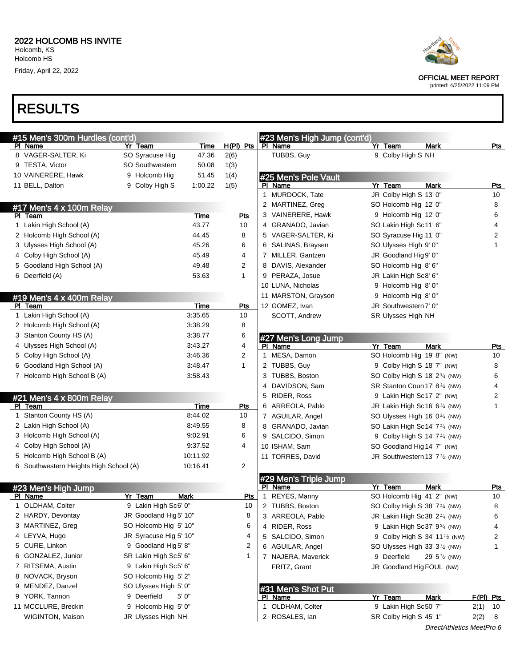

OFFICIAL MEET REPORT

printed: 4/25/2022 11:09 PM

### RESULTS

| #15 Men's 300m Hurdles (cont'd)        |                        |             |                 |              | #23 Men's High Jump (cont'd) |                                                        |                           |           |            |
|----------------------------------------|------------------------|-------------|-----------------|--------------|------------------------------|--------------------------------------------------------|---------------------------|-----------|------------|
| PI Name                                | Yr Team                | Time        | $H(PI)$ Pts     |              | PI Name                      | Yr Team                                                | <b>Mark</b>               |           | <u>Pts</u> |
| 8 VAGER-SALTER, Ki                     | SO Syracuse Hig        | 47.36       | 2(6)            |              | TUBBS, Guy                   | 9 Colby High S NH                                      |                           |           |            |
| 9 TESTA, Victor                        | SO Southwestern        | 50.08       | 1(3)            |              |                              |                                                        |                           |           |            |
| 10 VAINERERE, Hawk                     | 9 Holcomb Hig          | 51.45       | 1(4)            |              | #25 Men's Pole Vault         |                                                        |                           |           |            |
| 11 BELL, Dalton                        | 9 Colby High S         | 1:00.22     | 1(5)            |              | PI Name                      | Yr Team                                                | <b>Mark</b>               |           | Pts        |
|                                        |                        |             |                 | 1            | MURDOCK, Tate                | JR Colby High S 13' 0"                                 |                           |           | 10         |
| #17 Men's 4 x 100m Relay               |                        |             |                 |              | 2 MARTINEZ, Greg             | SO Holcomb Hig 12' 0"                                  |                           |           | 8          |
| PI Team                                |                        | <b>Time</b> | <b>Pts</b>      |              | 3 VAINERERE, Hawk            | 9 Holcomb Hig 12' 0"                                   |                           |           | 6          |
| 1 Lakin High School (A)                |                        | 43.77       | 10              |              | 4 GRANADO, Javian            | SO Lakin High Sc11' 6"                                 |                           |           | 4          |
| 2 Holcomb High School (A)              |                        | 44.45       | 8               |              | 5 VAGER-SALTER, Ki           | SO Syracuse Hig 11' 0"                                 |                           |           | 2          |
| 3 Ulysses High School (A)              |                        | 45.26       | 6               |              | 6 SALINAS, Braysen           | SO Ulysses High 9' 0"                                  |                           |           | 1          |
| 4 Colby High School (A)                |                        | 45.49       | 4               |              | 7 MILLER, Gantzen            | JR Goodland Hig 9' 0"                                  |                           |           |            |
| 5 Goodland High School (A)             |                        | 49.48       | 2               |              | 8 DAVIS, Alexander           | SO Holcomb Hig 8' 6"                                   |                           |           |            |
| 6 Deerfield (A)                        |                        | 53.63       | 1               |              | 9 PERAZA, Josue              | JR Lakin High Sc8' 6"                                  |                           |           |            |
|                                        |                        |             |                 |              | 10 LUNA, Nicholas            | 9 Holcomb Hig 8' 0"                                    |                           |           |            |
| #19 Men's 4 x 400m Relay               |                        |             |                 |              | 11 MARSTON, Grayson          | 9 Holcomb Hig 8' 0"                                    |                           |           |            |
| PI Team                                |                        | Time        | Pts             |              | 12 GOMEZ, Ivan               | JR Southwestern 7' 0"                                  |                           |           |            |
| 1 Lakin High School (A)                |                        | 3:35.65     | 10              |              | SCOTT, Andrew                | SR Ulysses High NH                                     |                           |           |            |
| 2 Holcomb High School (A)              |                        | 3:38.29     | 8               |              |                              |                                                        |                           |           |            |
| 3 Stanton County HS (A)                |                        | 3:38.77     | 6               |              | #27 Men's Long Jump          |                                                        |                           |           |            |
| 4 Ulysses High School (A)              |                        | 3.43.27     | 4               |              | PI Name                      | Yr Team                                                | <b>Mark</b>               |           | Pts        |
| 5 Colby High School (A)                |                        | 3:46.36     | 2               |              | MESA, Damon                  | SO Holcomb Hig 19' 8" (NW)                             |                           |           | 10         |
| 6 Goodland High School (A)             |                        | 3:48.47     | $\mathbf{1}$    |              | 2 TUBBS, Guy                 | 9 Colby High S 18' 7" (NW)                             |                           |           | 8          |
| 7 Holcomb High School B (A)            |                        | 3:58.43     |                 |              | 3 TUBBS, Boston              | SO Colby High S 18' 234 (NW)                           |                           |           | 6          |
|                                        |                        |             |                 |              | 4 DAVIDSON, Sam              | SR Stanton Coun 17' 8 <sup>3/4</sup> (NW)              |                           |           | 4          |
| #21 Men's 4 x 800m Relay               |                        |             |                 |              | 5 RIDER, Ross                | 9 Lakin High Sc17' 2" (NW)                             |                           |           | 2          |
| PI Team                                |                        | <b>Time</b> | <b>Pts</b>      |              | 6 ARREOLA, Pablo             | JR Lakin High Sc16' $6\frac{1}{4}$ (NW)                |                           |           | 1          |
| 1 Stanton County HS (A)                |                        | 8:44.02     | 10              |              | 7 AGUILAR, Angel             | SO Ulysses High 16' 0 <sup>3/4</sup> (NW)              |                           |           |            |
| 2 Lakin High School (A)                |                        | 8:49.55     | 8               |              | 8 GRANADO, Javian            | SO Lakin High Sc14' 7 <sup>1/4</sup> (NW)              |                           |           |            |
| 3 Holcomb High School (A)              |                        | 9:02.91     | 6               |              | 9 SALCIDO, Simon             | 9 Colby High S 14' 7 <sup>1/4</sup> (NW)               |                           |           |            |
| 4 Colby High School (A)                |                        | 9:37.52     | 4               |              | 10 ISHAM, Sam                | SO Goodland Hig 14' 7" (NW)                            |                           |           |            |
| 5 Holcomb High School B (A)            |                        | 10:11.92    |                 |              | 11 TORRES, David             | JR Southwestern 13' 7 <sup>1</sup> / <sub>2</sub> (NW) |                           |           |            |
| 6 Southwestern Heights High School (A) |                        | 10:16.41    | $\overline{2}$  |              |                              |                                                        |                           |           |            |
|                                        |                        |             |                 |              | #29 Men's Triple Jump        |                                                        |                           |           |            |
| #23 Men's High Jump                    |                        |             |                 |              | PI Name                      | Yr Team                                                | <b>Mark</b>               |           | <u>Pts</u> |
| PI Name                                | Yr Team                | <b>Mark</b> | <u>Pts</u>      | $\mathbf{1}$ | REYES, Manny                 | SO Holcomb Hig 41' 2" (NW)                             |                           |           | 10         |
| OLDHAM, Colter                         | 9 Lakin High Sc6' 0"   |             | 10 <sup>°</sup> |              | 2 TUBBS, Boston              | SO Colby High S 38' 7 <sup>1/4</sup> (NW)              |                           |           | 8          |
| 2 HARDY, Devontay                      | JR Goodland Hig 5' 10" |             | 8               |              | 3 ARREOLA, Pablo             | JR Lakin High Sc38' 2 <sup>1/4</sup> (NW)              |                           |           | 6          |
| 3 MARTINEZ, Greg                       | SO Holcomb Hig 5' 10"  |             | 6               |              | 4 RIDER, Ross                | 9 Lakin High Sc37' $9\frac{3}{4}$ (NW)                 |                           |           | 4          |
| 4 LEYVA, Hugo                          | JR Syracuse Hig 5' 10" |             | 4               |              | 5 SALCIDO, Simon             | 9 Colby High S 34' 11 <sup>1</sup> / <sub>2</sub> (NW) |                           |           | 2          |
| 5 CURE, Linkon                         | 9 Goodland Hig5' 8"    |             | 2               |              | 6 AGUILAR, Angel             | SO Ulysses High 33' 3 <sup>1</sup> / <sub>2</sub> (NW) |                           |           | 1          |
| 6 GONZALEZ, Junior                     | SR Lakin High Sc5' 6"  |             | 1               |              | 7 NAJERA, Maverick           | 9 Deerfield                                            | 29' $5\frac{1}{2}$ (NW)   |           |            |
| 7 RITSEMA, Austin                      | 9 Lakin High Sc5' 6"   |             |                 |              | FRITZ, Grant                 | JR Goodland Hig FOUL (NW)                              |                           |           |            |
| 8 NOVACK, Bryson                       | SO Holcomb Hig 5' 2"   |             |                 |              |                              |                                                        |                           |           |            |
| 9 MENDEZ, Danzel                       | SO Ulysses High 5' 0"  |             |                 |              | #31 Men's Shot Put           |                                                        |                           |           |            |
| 9 YORK, Tannon                         | 9 Deerfield            | 5' 0"       |                 |              | <b>PI</b> Name               | Yr Team                                                | <b>Mark</b>               | F(PI) Pts |            |
| 11 MCCLURE, Breckin                    | 9 Holcomb Hig 5' 0"    |             |                 |              | 1 OLDHAM, Colter             | 9 Lakin High Sc50' 7"                                  |                           | $2(1)$ 10 |            |
| WIGINTON, Maison                       | JR Ulysses High NH     |             |                 |              | 2 ROSALES, lan               | SR Colby High S 45' 1"                                 |                           | 2(2)      | - 8        |
|                                        |                        |             |                 |              |                              |                                                        | DirectAthletics MeetPro 6 |           |            |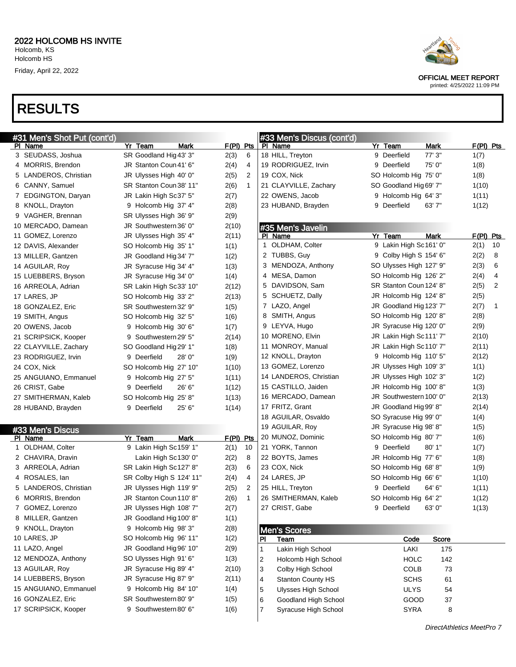# RESULTS

| #31 Men's Shot Put (cont'd) |                          |        |             |             | #33 Men's Discus (cont'd)                           |                         |             |             |    |
|-----------------------------|--------------------------|--------|-------------|-------------|-----------------------------------------------------|-------------------------|-------------|-------------|----|
| <b>PI Name</b>              | Yr Team                  | Mark   | $F(PI)$ Pts |             | PI Name                                             | Yr Team                 | Mark        | $F(PI)$ Pts |    |
| 3 SEUDASS, Joshua           | SR Goodland Hig 43' 3"   |        | 2(3)        | 6           | 18 HILL, Treyton                                    | 9 Deerfield             | 77'3''      | 1(7)        |    |
| 4 MORRIS, Brendon           | JR Stanton Coun 41' 6"   |        | 2(4)        | 4           | 19 RODRIGUEZ, Irvin                                 | 9 Deerfield             | 75' 0"      | 1(8)        |    |
| 5 LANDEROS, Christian       | JR Ulysses High 40' 0"   |        | 2(5)        | 2           | 19 COX, Nick                                        | SO Holcomb Hig 75' 0"   |             | 1(8)        |    |
| 6 CANNY, Samuel             | SR Stanton Coun 38' 11"  |        | 2(6)        | $\mathbf 1$ | 21 CLAYVILLE, Zachary                               | SO Goodland Hig 69' 7"  |             | 1(10)       |    |
| 7 EDGINGTON, Daryan         | JR Lakin High Sc37' 5"   |        | 2(7)        |             | 22 OWENS, Jacob                                     | 9 Holcomb Hig 64' 3"    |             | 1(11)       |    |
| 8 KNOLL, Drayton            | 9 Holcomb Hig 37' 4"     |        | 2(8)        |             | 23 HUBAND, Brayden                                  | 9 Deerfield             | 63'7''      | 1(12)       |    |
| 9 VAGHER, Brennan           | SR Ulysses High 36' 9"   |        | 2(9)        |             |                                                     |                         |             |             |    |
| 10 MERCADO, Damean          | JR Southwestern 36' 0"   |        | 2(10)       |             | #35 Men's Javelin                                   |                         |             |             |    |
| 11 GOMEZ, Lorenzo           | JR Ulysses High 35' 4"   |        | 2(11)       |             | PI Name                                             | Yr Team                 | <b>Mark</b> | F(PI) Pts   |    |
| 12 DAVIS, Alexander         | SO Holcomb Hig 35' 1"    |        | 1(1)        |             | 1 OLDHAM, Colter                                    | 9 Lakin High Sc161' 0"  |             | 2(1)        | 10 |
| 13 MILLER, Gantzen          | JR Goodland Hig 34' 7"   |        | 1(2)        |             | 2 TUBBS, Guy                                        | 9 Colby High S 154' 6"  |             | 2(2)        | 8  |
| 14 AGUILAR, Roy             | JR Syracuse Hig 34' 4"   |        | 1(3)        |             | 3 MENDOZA, Anthony                                  | SO Ulysses High 127' 9" |             | 2(3)        | 6  |
| 15 LUEBBERS, Bryson         | JR Syracuse Hig 34' 0"   |        | 1(4)        |             | 4 MESA, Damon                                       | SO Holcomb Hig 126' 2"  |             | 2(4)        | 4  |
| 16 ARREOLA, Adrian          | SR Lakin High Sc33' 10"  |        | 2(12)       |             | 5 DAVIDSON, Sam                                     | SR Stanton Coun 124' 8" |             | 2(5)        | 2  |
| 17 LARES, JP                | SO Holcomb Hig 33' 2"    |        | 2(13)       |             | 5 SCHUETZ, Dally                                    | JR Holcomb Hig 124' 8"  |             | 2(5)        |    |
| 18 GONZALEZ, Eric           | SR Southwestern 32' 9"   |        | 1(5)        |             | 7 LAZO, Angel                                       | JR Goodland Hig 123' 7" |             | 2(7)        | 1  |
| 19 SMITH, Angus             | SO Holcomb Hig 32' 5"    |        | 1(6)        |             | 8 SMITH, Angus                                      | SO Holcomb Hig 120' 8"  |             | 2(8)        |    |
| 20 OWENS, Jacob             | 9 Holcomb Hig 30' 6"     |        | 1(7)        |             | 9 LEYVA, Hugo                                       | JR Syracuse Hig 120' 0" |             | 2(9)        |    |
| 21 SCRIPSICK, Kooper        | 9 Southwestern 29' 5"    |        | 2(14)       |             | 10 MORENO, Elvin                                    | JR Lakin High Sc111' 7" |             | 2(10)       |    |
| 22 CLAYVILLE, Zachary       | SO Goodland Hig 29' 1"   |        | 1(8)        |             | 11 MONROY, Manual                                   | JR Lakin High Sc110' 7" |             | 2(11)       |    |
| 23 RODRIGUEZ, Irvin         | 9 Deerfield              | 28'0'' | 1(9)        |             | 12 KNOLL, Drayton                                   | 9 Holcomb Hig 110' 5"   |             | 2(12)       |    |
| 24 COX, Nick                | SO Holcomb Hig 27' 10"   |        | 1(10)       |             | 13 GOMEZ, Lorenzo                                   | JR Ulysses High 109' 3" |             | 1(1)        |    |
| 25 ANGUIANO, Emmanuel       | 9 Holcomb Hig 27' 5"     |        | 1(11)       |             | 14 LANDEROS, Christian                              | JR Ulysses High 102' 3" |             | 1(2)        |    |
| 26 CRIST, Gabe              | 9 Deerfield              | 26' 6" | 1(12)       |             | 15 CASTILLO, Jaiden                                 | JR Holcomb Hig 100' 8"  |             | 1(3)        |    |
| 27 SMITHERMAN, Kaleb        | SO Holcomb Hig 25' 8"    |        | 1(13)       |             | 16 MERCADO, Damean                                  | JR Southwestern 100' 0" |             | 2(13)       |    |
| 28 HUBAND, Brayden          | 9 Deerfield              | 25'6'' | 1(14)       |             | 17 FRITZ, Grant                                     | JR Goodland Hig 99' 8"  |             | 2(14)       |    |
|                             |                          |        |             |             | 18 AGUILAR, Osvaldo                                 | SO Syracuse Hig 99' 0"  |             | 1(4)        |    |
| #33 Men's Discus            |                          |        |             |             | 19 AGUILAR, Roy                                     | JR Syracuse Hig 98' 8"  |             | 1(5)        |    |
| PI Name                     | Yr Team                  | Mark   | $F(PI)$ Pts |             | 20 MUNOZ, Dominic                                   | SO Holcomb Hig 80' 7"   |             | 1(6)        |    |
| 1 OLDHAM, Colter            | 9 Lakin High Sc159' 1"   |        | 2(1)        | 10          | 21 YORK, Tannon                                     | 9 Deerfield             | 80'1"       | 1(7)        |    |
| 2 CHAVIRA, Dravin           | Lakin High Sc130' 0"     |        | 2(2)        | 8           | 22 BOYTS, James                                     | JR Holcomb Hig 77' 6"   |             | 1(8)        |    |
| 3 ARREOLA, Adrian           | SR Lakin High Sc127' 8"  |        | 2(3)        | 6           | 23 COX, Nick                                        | SO Holcomb Hig 68' 8"   |             | 1(9)        |    |
| 4 ROSALES, lan              | SR Colby High S 124' 11" |        | 2(4)        | 4           | 24 LARES, JP                                        | SO Holcomb Hig 66' 6"   |             | 1(10)       |    |
| 5 LANDEROS, Christian       | JR Ulysses High 119' 9"  |        | 2(5)        | 2           | 25 HILL, Treyton                                    | 9 Deerfield             | 64' 6"      | 1(11)       |    |
| 6 MORRIS, Brendon           | JR Stanton Coun 110' 8"  |        | 2(6)        | $\mathbf 1$ | 26 SMITHERMAN, Kaleb                                | SO Holcomb Hig 64' 2"   |             | 1(12)       |    |
| GOMEZ, Lorenzo              | JR Ulysses High 108' 7"  |        | 2(7)        |             | 27 CRIST, Gabe                                      | 9 Deerfield             | 63' 0'      | 1(13)       |    |
| 8 MILLER, Gantzen           | JR Goodland Hig 100' 8"  |        | 1(1)        |             |                                                     |                         |             |             |    |
| 9 KNOLL, Drayton            | 9 Holcomb Hig 98' 3"     |        | 2(8)        |             | <b>Men's Scores</b>                                 |                         |             |             |    |
| 10 LARES, JP                | SO Holcomb Hig 96' 11"   |        | 1(2)        |             | PI<br>Team                                          | Code                    | Score       |             |    |
| 11 LAZO, Angel              | JR Goodland Hig 96' 10"  |        | 2(9)        |             | 1<br>Lakin High School                              | LAKI                    | 175         |             |    |
| 12 MENDOZA, Anthony         | SO Ulysses High 91' 6"   |        | 1(3)        |             | $\overline{\mathbf{c}}$<br>Holcomb High School      | <b>HOLC</b>             | 142         |             |    |
| 13 AGUILAR, Roy             | JR Syracuse Hig 89' 4"   |        | 2(10)       |             | 3<br>Colby High School                              | <b>COLB</b>             | 73          |             |    |
| 14 LUEBBERS, Bryson         | JR Syracuse Hig 87' 9"   |        | 2(11)       |             | $\overline{\mathbf{4}}$<br><b>Stanton County HS</b> | <b>SCHS</b>             | 61          |             |    |
| 15 ANGUIANO, Emmanuel       | 9 Holcomb Hig 84' 10"    |        | 1(4)        |             | 5<br><b>Ulysses High School</b>                     | <b>ULYS</b>             | 54          |             |    |
| 16 GONZALEZ, Eric           | SR Southwestern 80' 9"   |        | 1(5)        |             | 6<br>Goodland High School                           | GOOD                    | 37          |             |    |
| 17 SCRIPSICK, Kooper        | 9 Southwestern 80' 6"    |        | 1(6)        |             | $\overline{7}$<br>Syracuse High School              | SYRA                    | 8           |             |    |
|                             |                          |        |             |             |                                                     |                         |             |             |    |

OFFICIAL MEET REPORT

printed: 4/25/2022 11:09 PM